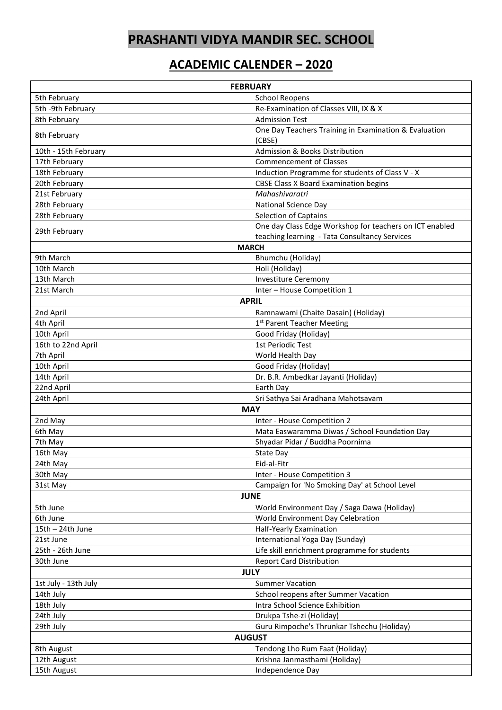## **PRASHANTI VIDYA MANDIR SEC. SCHOOL**

## **ACADEMIC CALENDER – 2020**

| <b>FEBRUARY</b>                   |                                                                                 |
|-----------------------------------|---------------------------------------------------------------------------------|
| 5th February                      | <b>School Reopens</b>                                                           |
| 5th -9th February                 | Re-Examination of Classes VIII, IX & X                                          |
| 8th February                      | <b>Admission Test</b>                                                           |
| 8th February                      | One Day Teachers Training in Examination & Evaluation                           |
|                                   | (CBSE)                                                                          |
| 10th - 15th February              | Admission & Books Distribution                                                  |
| 17th February                     | <b>Commencement of Classes</b>                                                  |
| 18th February                     | Induction Programme for students of Class V - X                                 |
| 20th February                     | <b>CBSE Class X Board Examination begins</b><br>Mahashivaratri                  |
| 21st February<br>28th February    | <b>National Science Day</b>                                                     |
| 28th February                     | <b>Selection of Captains</b>                                                    |
|                                   | One day Class Edge Workshop for teachers on ICT enabled                         |
| 29th February                     | teaching learning - Tata Consultancy Services                                   |
| <b>MARCH</b>                      |                                                                                 |
| 9th March                         | Bhumchu (Holiday)                                                               |
| 10th March                        | Holi (Holiday)                                                                  |
| 13th March                        | <b>Investiture Ceremony</b>                                                     |
| 21st March                        | Inter - House Competition 1                                                     |
| <b>APRIL</b>                      |                                                                                 |
| 2nd April                         | Ramnawami (Chaite Dasain) (Holiday)                                             |
| 4th April                         | 1 <sup>st</sup> Parent Teacher Meeting                                          |
| 10th April                        | Good Friday (Holiday)                                                           |
| 16th to 22nd April                | 1st Periodic Test                                                               |
| 7th April                         | World Health Day                                                                |
| 10th April                        | Good Friday (Holiday)                                                           |
| 14th April                        | Dr. B.R. Ambedkar Jayanti (Holiday)                                             |
| 22nd April                        | Earth Day                                                                       |
| 24th April                        | Sri Sathya Sai Aradhana Mahotsavam                                              |
| <b>MAY</b>                        |                                                                                 |
| 2nd May                           | Inter - House Competition 2                                                     |
| 6th May                           | Mata Easwaramma Diwas / School Foundation Day                                   |
| 7th May                           | Shyadar Pidar / Buddha Poornima                                                 |
| 16th May                          | State Day                                                                       |
| 24th May                          | Eid-al-Fitr                                                                     |
| 30th May                          | Inter - House Competition 3                                                     |
| 31st May                          | Campaign for 'No Smoking Day' at School Level                                   |
|                                   | <b>JUNE</b>                                                                     |
| 5th June                          | World Environment Day / Saga Dawa (Holiday)                                     |
| 6th June                          | World Environment Day Celebration                                               |
| 15th - 24th June                  | Half-Yearly Examination                                                         |
| 21st June<br>25th - 26th June     | International Yoga Day (Sunday)                                                 |
| 30th June                         | Life skill enrichment programme for students<br><b>Report Card Distribution</b> |
|                                   |                                                                                 |
| <b>JULY</b>                       |                                                                                 |
| 1st July - 13th July<br>14th July | <b>Summer Vacation</b><br>School reopens after Summer Vacation                  |
|                                   | Intra School Science Exhibition                                                 |
| 18th July<br>24th July            | Drukpa Tshe-zi (Holiday)                                                        |
| 29th July                         | Guru Rimpoche's Thrunkar Tshechu (Holiday)                                      |
| <b>AUGUST</b>                     |                                                                                 |
| 8th August                        | Tendong Lho Rum Faat (Holiday)                                                  |
| 12th August                       | Krishna Janmasthami (Holiday)                                                   |
| 15th August                       | Independence Day                                                                |
|                                   |                                                                                 |